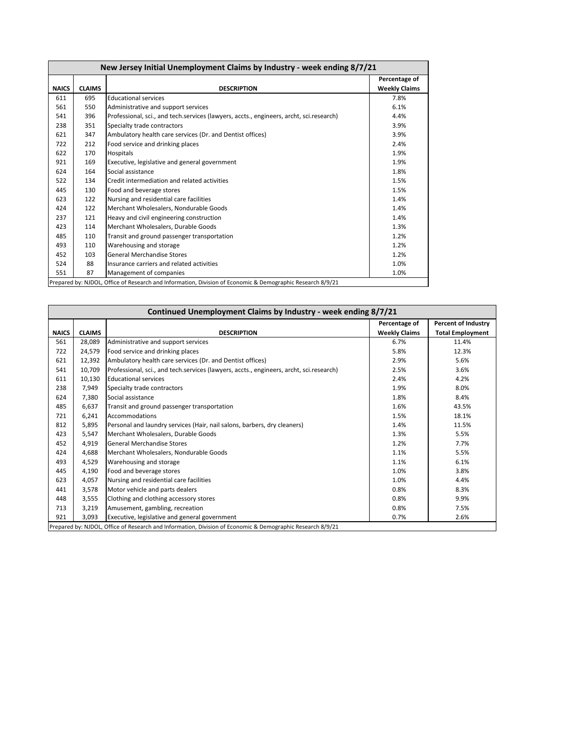| New Jersey Initial Unemployment Claims by Industry - week ending 8/7/21 |               |                                                                                         |                                       |  |  |  |
|-------------------------------------------------------------------------|---------------|-----------------------------------------------------------------------------------------|---------------------------------------|--|--|--|
| <b>NAICS</b>                                                            | <b>CLAIMS</b> | <b>DESCRIPTION</b>                                                                      | Percentage of<br><b>Weekly Claims</b> |  |  |  |
| 611                                                                     | 695           | <b>Educational services</b>                                                             | 7.8%                                  |  |  |  |
| 561                                                                     | 550           | Administrative and support services                                                     | 6.1%                                  |  |  |  |
| 541                                                                     | 396           | Professional, sci., and tech.services (lawyers, accts., engineers, archt, sci.research) | 4.4%                                  |  |  |  |
| 238                                                                     | 351           | Specialty trade contractors                                                             | 3.9%                                  |  |  |  |
| 621                                                                     | 347           | Ambulatory health care services (Dr. and Dentist offices)                               | 3.9%                                  |  |  |  |
| 722                                                                     | 212           | Food service and drinking places                                                        | 2.4%                                  |  |  |  |
| 622                                                                     | 170           | Hospitals                                                                               | 1.9%                                  |  |  |  |
| 921                                                                     | 169           | Executive, legislative and general government                                           | 1.9%                                  |  |  |  |
| 624                                                                     | 164           | Social assistance                                                                       | 1.8%                                  |  |  |  |
| 522                                                                     | 134           | Credit intermediation and related activities                                            | 1.5%                                  |  |  |  |
| 445                                                                     | 130           | Food and beverage stores                                                                | 1.5%                                  |  |  |  |
| 623                                                                     | 122           | Nursing and residential care facilities                                                 | 1.4%                                  |  |  |  |
| 424                                                                     | 122           | Merchant Wholesalers, Nondurable Goods                                                  | 1.4%                                  |  |  |  |
| 237                                                                     | 121           | Heavy and civil engineering construction                                                | 1.4%                                  |  |  |  |
| 423                                                                     | 114           | Merchant Wholesalers, Durable Goods                                                     | 1.3%                                  |  |  |  |
| 485                                                                     | 110           | Transit and ground passenger transportation                                             | 1.2%                                  |  |  |  |
| 493                                                                     | 110           | Warehousing and storage                                                                 | 1.2%                                  |  |  |  |
| 452                                                                     | 103           | <b>General Merchandise Stores</b>                                                       | 1.2%                                  |  |  |  |
| 524                                                                     | 88            | Insurance carriers and related activities                                               | 1.0%                                  |  |  |  |
| 551                                                                     | 87            | Management of companies                                                                 | 1.0%                                  |  |  |  |

| <b>Percent of Industry</b><br>Percentage of<br><b>Weekly Claims</b><br><b>Total Employment</b><br><b>CLAIMS</b><br><b>NAICS</b><br><b>DESCRIPTION</b><br>561<br>28,089<br>Administrative and support services<br>6.7%<br>11.4%<br>Food service and drinking places<br>722<br>24,579<br>5.8%<br>12.3%<br>Ambulatory health care services (Dr. and Dentist offices)<br>5.6%<br>621<br>12,392<br>2.9%<br>10,709<br>Professional, sci., and tech.services (lawyers, accts., engineers, archt, sci.research)<br>3.6%<br>541<br>2.5%<br>10,130<br><b>Educational services</b><br>4.2%<br>611<br>2.4%<br>238<br>7,949<br>8.0%<br>Specialty trade contractors<br>1.9%<br>624<br>7,380<br>Social assistance<br>1.8%<br>8.4% |
|--------------------------------------------------------------------------------------------------------------------------------------------------------------------------------------------------------------------------------------------------------------------------------------------------------------------------------------------------------------------------------------------------------------------------------------------------------------------------------------------------------------------------------------------------------------------------------------------------------------------------------------------------------------------------------------------------------------------|
|                                                                                                                                                                                                                                                                                                                                                                                                                                                                                                                                                                                                                                                                                                                    |
|                                                                                                                                                                                                                                                                                                                                                                                                                                                                                                                                                                                                                                                                                                                    |
|                                                                                                                                                                                                                                                                                                                                                                                                                                                                                                                                                                                                                                                                                                                    |
|                                                                                                                                                                                                                                                                                                                                                                                                                                                                                                                                                                                                                                                                                                                    |
|                                                                                                                                                                                                                                                                                                                                                                                                                                                                                                                                                                                                                                                                                                                    |
|                                                                                                                                                                                                                                                                                                                                                                                                                                                                                                                                                                                                                                                                                                                    |
|                                                                                                                                                                                                                                                                                                                                                                                                                                                                                                                                                                                                                                                                                                                    |
|                                                                                                                                                                                                                                                                                                                                                                                                                                                                                                                                                                                                                                                                                                                    |
|                                                                                                                                                                                                                                                                                                                                                                                                                                                                                                                                                                                                                                                                                                                    |
| 485<br>6,637<br>Transit and ground passenger transportation<br>1.6%<br>43.5%                                                                                                                                                                                                                                                                                                                                                                                                                                                                                                                                                                                                                                       |
| 6,241<br><b>Accommodations</b><br>1.5%<br>18.1%<br>721                                                                                                                                                                                                                                                                                                                                                                                                                                                                                                                                                                                                                                                             |
| 812<br>5,895<br>Personal and laundry services (Hair, nail salons, barbers, dry cleaners)<br>11.5%<br>1.4%                                                                                                                                                                                                                                                                                                                                                                                                                                                                                                                                                                                                          |
| Merchant Wholesalers, Durable Goods<br>1.3%<br>5.5%<br>423<br>5.547                                                                                                                                                                                                                                                                                                                                                                                                                                                                                                                                                                                                                                                |
| 4,919<br><b>General Merchandise Stores</b><br>7.7%<br>452<br>1.2%                                                                                                                                                                                                                                                                                                                                                                                                                                                                                                                                                                                                                                                  |
| 5.5%<br>424<br>4,688<br>Merchant Wholesalers, Nondurable Goods<br>1.1%                                                                                                                                                                                                                                                                                                                                                                                                                                                                                                                                                                                                                                             |
| 6.1%<br>493<br>4,529<br>Warehousing and storage<br>1.1%                                                                                                                                                                                                                                                                                                                                                                                                                                                                                                                                                                                                                                                            |
| 4,190<br>Food and beverage stores<br>1.0%<br>3.8%<br>445                                                                                                                                                                                                                                                                                                                                                                                                                                                                                                                                                                                                                                                           |
| 623<br>4,057<br>Nursing and residential care facilities<br>1.0%<br>4.4%                                                                                                                                                                                                                                                                                                                                                                                                                                                                                                                                                                                                                                            |
| Motor vehicle and parts dealers<br>8.3%<br>3,578<br>0.8%<br>441                                                                                                                                                                                                                                                                                                                                                                                                                                                                                                                                                                                                                                                    |
| 3,555<br>Clothing and clothing accessory stores<br>0.8%<br>9.9%<br>448                                                                                                                                                                                                                                                                                                                                                                                                                                                                                                                                                                                                                                             |
| Amusement, gambling, recreation<br>713<br>3,219<br>0.8%<br>7.5%                                                                                                                                                                                                                                                                                                                                                                                                                                                                                                                                                                                                                                                    |
| 921<br>Executive, legislative and general government<br>0.7%<br>2.6%<br>3,093                                                                                                                                                                                                                                                                                                                                                                                                                                                                                                                                                                                                                                      |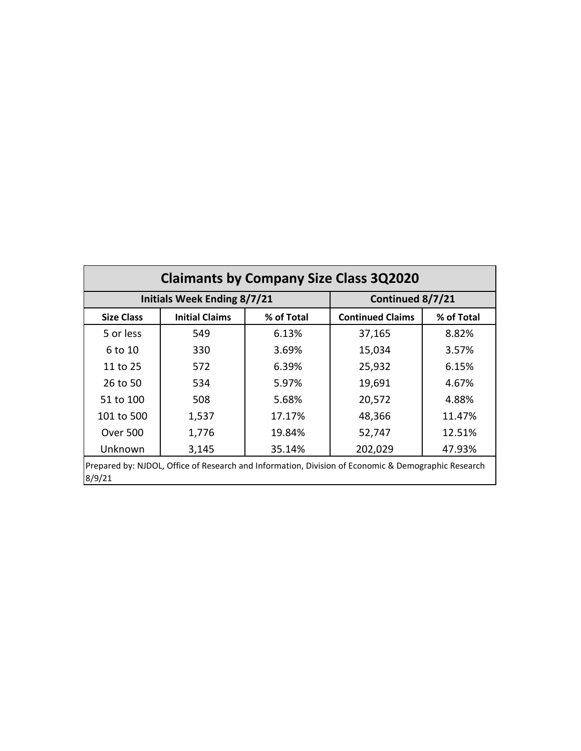| <b>Claimants by Company Size Class 3Q2020</b>                                                                 |                       |            |                         |            |  |  |  |
|---------------------------------------------------------------------------------------------------------------|-----------------------|------------|-------------------------|------------|--|--|--|
| <b>Initials Week Ending 8/7/21</b><br>Continued 8/7/21                                                        |                       |            |                         |            |  |  |  |
| <b>Size Class</b>                                                                                             | <b>Initial Claims</b> | % of Total | <b>Continued Claims</b> | % of Total |  |  |  |
| 5 or less                                                                                                     | 549                   | 6.13%      | 37,165                  | 8.82%      |  |  |  |
| 6 to 10                                                                                                       | 330                   | 3.69%      | 15,034                  | 3.57%      |  |  |  |
| 11 to 25                                                                                                      | 572                   | 6.39%      | 25,932                  | 6.15%      |  |  |  |
| 26 to 50                                                                                                      | 534                   | 5.97%      | 19,691                  | 4.67%      |  |  |  |
| 51 to 100                                                                                                     | 508                   | 5.68%      | 20,572                  | 4.88%      |  |  |  |
| 101 to 500                                                                                                    | 1,537                 | 17.17%     | 48,366                  | 11.47%     |  |  |  |
| <b>Over 500</b>                                                                                               | 1,776                 | 19.84%     | 52,747                  | 12.51%     |  |  |  |
| Unknown<br>202,029<br>3,145<br>35.14%<br>47.93%                                                               |                       |            |                         |            |  |  |  |
| Prepared by: NJDOL, Office of Research and Information, Division of Economic & Demographic Research<br>8/9/21 |                       |            |                         |            |  |  |  |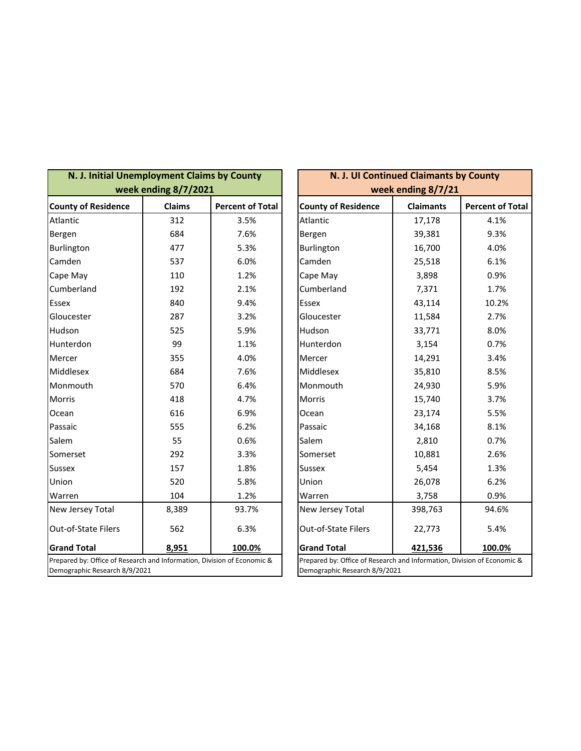| N. J. Initial Unemployment Claims by County<br>week ending 8/7/2021                                      |               |                         |  | N. J. UI Continued Claimants by County<br>week ending 8/7/21                                             |                  |                         |  |
|----------------------------------------------------------------------------------------------------------|---------------|-------------------------|--|----------------------------------------------------------------------------------------------------------|------------------|-------------------------|--|
| <b>County of Residence</b>                                                                               | <b>Claims</b> | <b>Percent of Total</b> |  | <b>County of Residence</b>                                                                               | <b>Claimants</b> | <b>Percent of Total</b> |  |
| Atlantic                                                                                                 | 312           | 3.5%                    |  | Atlantic                                                                                                 | 17,178           | 4.1%                    |  |
| Bergen                                                                                                   | 684           | 7.6%                    |  | Bergen                                                                                                   | 39,381           | 9.3%                    |  |
| Burlington                                                                                               | 477           | 5.3%                    |  | Burlington                                                                                               | 16,700           | 4.0%                    |  |
| Camden                                                                                                   | 537           | 6.0%                    |  | Camden                                                                                                   | 25,518           | 6.1%                    |  |
| Cape May                                                                                                 | 110           | 1.2%                    |  | Cape May                                                                                                 | 3,898            | 0.9%                    |  |
| Cumberland                                                                                               | 192           | 2.1%                    |  | Cumberland                                                                                               | 7,371            | 1.7%                    |  |
| <b>Essex</b>                                                                                             | 840           | 9.4%                    |  | Essex                                                                                                    | 43,114           | 10.2%                   |  |
| Gloucester                                                                                               | 287           | 3.2%                    |  | Gloucester                                                                                               | 11,584           | 2.7%                    |  |
| Hudson                                                                                                   | 525           | 5.9%                    |  | Hudson                                                                                                   | 33,771           | 8.0%                    |  |
| Hunterdon                                                                                                | 99            | 1.1%                    |  | Hunterdon                                                                                                | 3,154            | 0.7%                    |  |
| Mercer                                                                                                   | 355           | 4.0%                    |  | Mercer                                                                                                   | 14,291           | 3.4%                    |  |
| Middlesex                                                                                                | 684           | 7.6%                    |  | Middlesex                                                                                                | 35,810           | 8.5%                    |  |
| Monmouth                                                                                                 | 570           | 6.4%                    |  | Monmouth                                                                                                 | 24,930           | 5.9%                    |  |
| <b>Morris</b>                                                                                            | 418           | 4.7%                    |  | Morris                                                                                                   | 15,740           | 3.7%                    |  |
| Ocean                                                                                                    | 616           | 6.9%                    |  | Ocean                                                                                                    | 23,174           | 5.5%                    |  |
| Passaic                                                                                                  | 555           | 6.2%                    |  | Passaic                                                                                                  | 34,168           | 8.1%                    |  |
| Salem                                                                                                    | 55            | 0.6%                    |  | Salem                                                                                                    | 2,810            | 0.7%                    |  |
| Somerset                                                                                                 | 292           | 3.3%                    |  | Somerset                                                                                                 | 10,881           | 2.6%                    |  |
| <b>Sussex</b>                                                                                            | 157           | 1.8%                    |  | <b>Sussex</b>                                                                                            | 5,454            | 1.3%                    |  |
| Union                                                                                                    | 520           | 5.8%                    |  | Union                                                                                                    | 26,078           | 6.2%                    |  |
| Warren                                                                                                   | 104           | 1.2%                    |  | Warren                                                                                                   | 3,758            | 0.9%                    |  |
| New Jersey Total                                                                                         | 8,389         | 93.7%                   |  | New Jersey Total                                                                                         | 398,763          | 94.6%                   |  |
| Out-of-State Filers                                                                                      | 562           | 6.3%                    |  | Out-of-State Filers                                                                                      | 22,773           | 5.4%                    |  |
| <b>Grand Total</b>                                                                                       | 8,951         | 100.0%                  |  | <b>Grand Total</b>                                                                                       | 421,536          | 100.0%                  |  |
| Prepared by: Office of Research and Information, Division of Economic &<br>Demographic Research 8/9/2021 |               |                         |  | Prepared by: Office of Research and Information, Division of Economic &<br>Demographic Research 8/9/2021 |                  |                         |  |

| N. J. UI Continued Claimants by County                                                                   |                          |                         |  |  |  |  |
|----------------------------------------------------------------------------------------------------------|--------------------------|-------------------------|--|--|--|--|
| week ending 8/7/21                                                                                       |                          |                         |  |  |  |  |
| <b>County of Residence</b>                                                                               | <b>Claimants</b>         | <b>Percent of Total</b> |  |  |  |  |
| Atlantic                                                                                                 | 17,178                   | 4.1%                    |  |  |  |  |
| Bergen                                                                                                   | 39,381                   | 9.3%                    |  |  |  |  |
| Burlington                                                                                               | 16,700                   | 4.0%                    |  |  |  |  |
| Camden                                                                                                   | 25,518                   | 6.1%                    |  |  |  |  |
| Cape May                                                                                                 | 3,898                    | 0.9%                    |  |  |  |  |
| Cumberland                                                                                               | 7,371                    | 1.7%                    |  |  |  |  |
| Essex                                                                                                    | 43,114                   | 10.2%                   |  |  |  |  |
| Gloucester                                                                                               | 11,584                   | 2.7%                    |  |  |  |  |
| Hudson                                                                                                   | 33,771                   | 8.0%                    |  |  |  |  |
| Hunterdon                                                                                                | 3,154                    | 0.7%                    |  |  |  |  |
| Mercer                                                                                                   | 14,291                   | 3.4%                    |  |  |  |  |
| Middlesex                                                                                                | 35,810                   | 8.5%                    |  |  |  |  |
| Monmouth                                                                                                 | 24,930                   | 5.9%                    |  |  |  |  |
| Morris                                                                                                   | 15,740                   | 3.7%                    |  |  |  |  |
| Ocean                                                                                                    | 23,174                   | 5.5%                    |  |  |  |  |
| Passaic                                                                                                  | 34,168                   | 8.1%                    |  |  |  |  |
| Salem                                                                                                    | 2,810                    | 0.7%                    |  |  |  |  |
| Somerset                                                                                                 | 10,881                   | 2.6%                    |  |  |  |  |
| Sussex                                                                                                   | 5,454                    | 1.3%                    |  |  |  |  |
| Union                                                                                                    | 26,078                   | 6.2%                    |  |  |  |  |
| Warren                                                                                                   | 3,758                    | 0.9%                    |  |  |  |  |
| New Jersey Total                                                                                         | 398,763                  | 94.6%                   |  |  |  |  |
| Out-of-State Filers                                                                                      | 22,773                   | 5.4%                    |  |  |  |  |
| <b>Grand Total</b>                                                                                       | 100.0%<br><u>421,536</u> |                         |  |  |  |  |
| Prepared by: Office of Research and Information, Division of Economic &<br>Demographic Research 8/9/2021 |                          |                         |  |  |  |  |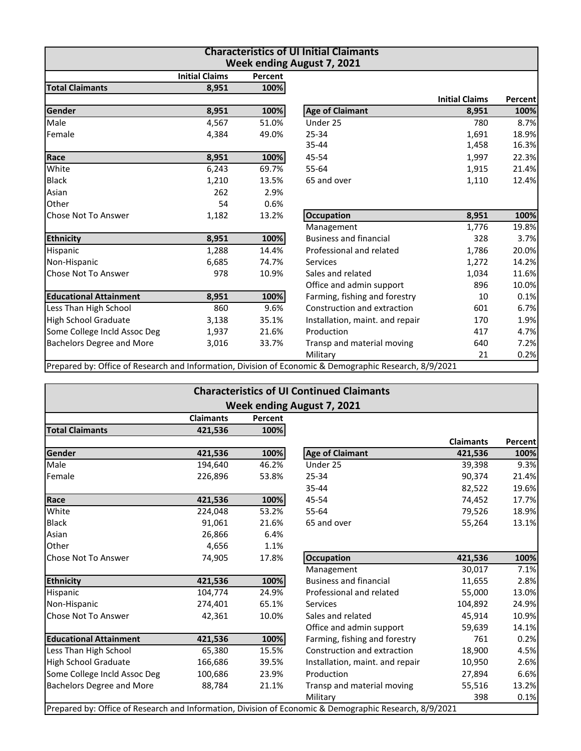| <b>Characteristics of UI Initial Claimants</b><br><b>Week ending August 7, 2021</b> |                       |         |                                                                                                        |                       |         |  |  |
|-------------------------------------------------------------------------------------|-----------------------|---------|--------------------------------------------------------------------------------------------------------|-----------------------|---------|--|--|
|                                                                                     | <b>Initial Claims</b> | Percent |                                                                                                        |                       |         |  |  |
| <b>Total Claimants</b>                                                              | 8,951                 | 100%    |                                                                                                        |                       |         |  |  |
|                                                                                     |                       |         |                                                                                                        | <b>Initial Claims</b> | Percent |  |  |
| Gender                                                                              | 8,951                 | 100%    | <b>Age of Claimant</b>                                                                                 | 8,951                 | 100%    |  |  |
| Male                                                                                | 4,567                 | 51.0%   | Under 25                                                                                               | 780                   | 8.7%    |  |  |
| Female                                                                              | 4,384                 | 49.0%   | 25-34                                                                                                  | 1,691                 | 18.9%   |  |  |
|                                                                                     |                       |         | $35 - 44$                                                                                              | 1,458                 | 16.3%   |  |  |
| Race                                                                                | 8,951                 | 100%    | 45-54                                                                                                  | 1,997                 | 22.3%   |  |  |
| White                                                                               | 6,243                 | 69.7%   | 55-64                                                                                                  | 1,915                 | 21.4%   |  |  |
| <b>Black</b>                                                                        | 1,210                 | 13.5%   | 65 and over                                                                                            | 1,110                 | 12.4%   |  |  |
| Asian                                                                               | 262                   | 2.9%    |                                                                                                        |                       |         |  |  |
| Other                                                                               | 54                    | 0.6%    |                                                                                                        |                       |         |  |  |
| <b>Chose Not To Answer</b>                                                          | 1,182                 | 13.2%   | <b>Occupation</b>                                                                                      | 8,951                 | 100%    |  |  |
|                                                                                     |                       |         | Management                                                                                             | 1,776                 | 19.8%   |  |  |
| <b>Ethnicity</b>                                                                    | 8,951                 | 100%    | <b>Business and financial</b>                                                                          | 328                   | 3.7%    |  |  |
| Hispanic                                                                            | 1,288                 | 14.4%   | Professional and related                                                                               | 1,786                 | 20.0%   |  |  |
| Non-Hispanic                                                                        | 6,685                 | 74.7%   | <b>Services</b>                                                                                        | 1,272                 | 14.2%   |  |  |
| Chose Not To Answer                                                                 | 978                   | 10.9%   | Sales and related                                                                                      | 1,034                 | 11.6%   |  |  |
|                                                                                     |                       |         | Office and admin support                                                                               | 896                   | 10.0%   |  |  |
| <b>Educational Attainment</b>                                                       | 8,951                 | 100%    | Farming, fishing and forestry                                                                          | 10                    | 0.1%    |  |  |
| Less Than High School                                                               | 860                   | 9.6%    | Construction and extraction                                                                            | 601                   | 6.7%    |  |  |
| High School Graduate                                                                | 3,138                 | 35.1%   | Installation, maint. and repair                                                                        | 170                   | 1.9%    |  |  |
| Some College Incld Assoc Deg                                                        | 1,937                 | 21.6%   | Production                                                                                             | 417                   | 4.7%    |  |  |
| <b>Bachelors Degree and More</b>                                                    | 3,016                 | 33.7%   | Transp and material moving                                                                             | 640                   | 7.2%    |  |  |
|                                                                                     |                       |         | Military                                                                                               | 21                    | 0.2%    |  |  |
|                                                                                     |                       |         | Prepared by: Office of Research and Information, Division of Economic & Demographic Research, 8/9/2021 |                       |         |  |  |

| <b>Characteristics of UI Continued Claimants</b> |                  |         |                                                                                                        |                  |                |  |  |
|--------------------------------------------------|------------------|---------|--------------------------------------------------------------------------------------------------------|------------------|----------------|--|--|
| <b>Week ending August 7, 2021</b>                |                  |         |                                                                                                        |                  |                |  |  |
|                                                  | <b>Claimants</b> | Percent |                                                                                                        |                  |                |  |  |
| <b>Total Claimants</b>                           | 421,536          | 100%    |                                                                                                        |                  |                |  |  |
|                                                  |                  |         |                                                                                                        | <b>Claimants</b> | <b>Percent</b> |  |  |
| Gender                                           | 421,536          | 100%    | <b>Age of Claimant</b>                                                                                 | 421,536          | 100%           |  |  |
| Male                                             | 194,640          | 46.2%   | Under 25                                                                                               | 39,398           | 9.3%           |  |  |
| Female                                           | 226,896          | 53.8%   | 25-34                                                                                                  | 90,374           | 21.4%          |  |  |
|                                                  |                  |         | 35-44                                                                                                  | 82,522           | 19.6%          |  |  |
| Race                                             | 421,536          | 100%    | 45-54                                                                                                  | 74,452           | 17.7%          |  |  |
| White                                            | 224,048          | 53.2%   | 55-64                                                                                                  | 79,526           | 18.9%          |  |  |
| <b>Black</b>                                     | 91,061           | 21.6%   | 65 and over                                                                                            | 55,264           | 13.1%          |  |  |
| Asian                                            | 26,866           | 6.4%    |                                                                                                        |                  |                |  |  |
| Other                                            | 4,656            | 1.1%    |                                                                                                        |                  |                |  |  |
| <b>Chose Not To Answer</b>                       | 74,905           | 17.8%   | <b>Occupation</b>                                                                                      | 421,536          | 100%           |  |  |
|                                                  |                  |         | Management                                                                                             | 30,017           | 7.1%           |  |  |
| <b>Ethnicity</b>                                 | 421,536          | 100%    | <b>Business and financial</b>                                                                          | 11,655           | 2.8%           |  |  |
| Hispanic                                         | 104,774          | 24.9%   | Professional and related                                                                               | 55,000           | 13.0%          |  |  |
| Non-Hispanic                                     | 274,401          | 65.1%   | Services                                                                                               | 104,892          | 24.9%          |  |  |
| Chose Not To Answer                              | 42,361           | 10.0%   | Sales and related                                                                                      | 45,914           | 10.9%          |  |  |
|                                                  |                  |         | Office and admin support                                                                               | 59,639           | 14.1%          |  |  |
| <b>Educational Attainment</b>                    | 421,536          | 100%    | Farming, fishing and forestry                                                                          | 761              | 0.2%           |  |  |
| Less Than High School                            | 65,380           | 15.5%   | Construction and extraction                                                                            | 18,900           | 4.5%           |  |  |
| <b>High School Graduate</b>                      | 166,686          | 39.5%   | Installation, maint. and repair                                                                        | 10,950           | 2.6%           |  |  |
| Some College Incld Assoc Deg                     | 100,686          | 23.9%   | Production                                                                                             | 27,894           | 6.6%           |  |  |
| <b>Bachelors Degree and More</b>                 | 88,784           | 21.1%   | Transp and material moving                                                                             | 55,516           | 13.2%          |  |  |
|                                                  |                  |         | Military                                                                                               | 398              | 0.1%           |  |  |
|                                                  |                  |         | Prepared by: Office of Research and Information, Division of Economic & Demographic Research, 8/9/2021 |                  |                |  |  |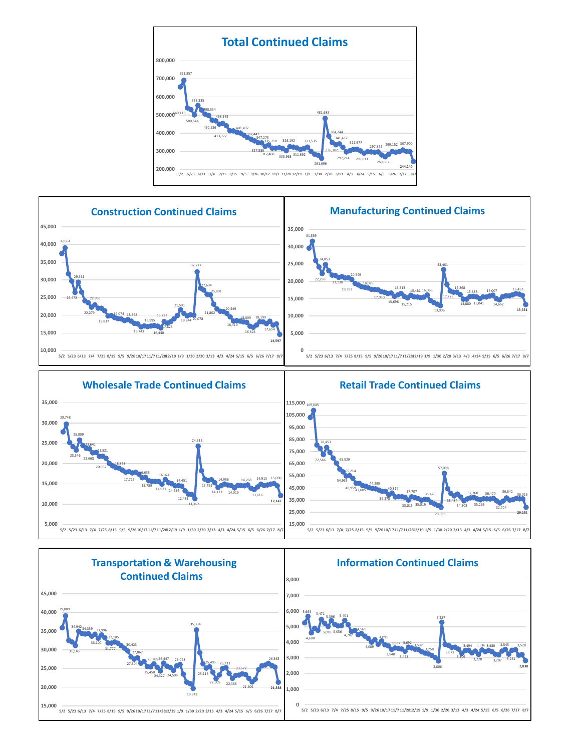